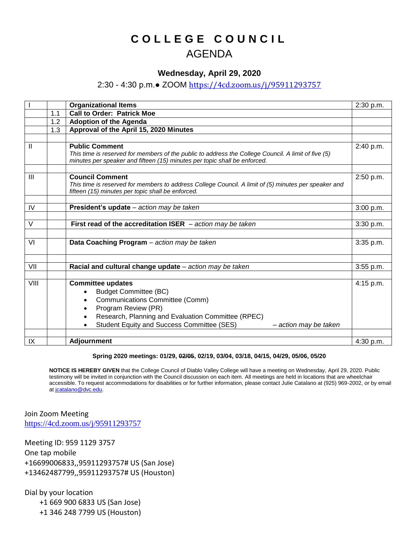## **C O L L E G E C O U N C I L** AGENDA

## **Wednesday, April 29, 2020**

## 2:30 - 4:30 p.m.● ZOOM <https://4cd.zoom.us/j/95911293757>

|               |     | <b>Organizational Items</b>                                                                                                                                                                                                                                       | 2:30 p.m. |
|---------------|-----|-------------------------------------------------------------------------------------------------------------------------------------------------------------------------------------------------------------------------------------------------------------------|-----------|
|               | 1.1 | <b>Call to Order: Patrick Moe</b>                                                                                                                                                                                                                                 |           |
|               | 1.2 | <b>Adoption of the Agenda</b>                                                                                                                                                                                                                                     |           |
|               | 1.3 | Approval of the April 15, 2020 Minutes                                                                                                                                                                                                                            |           |
|               |     |                                                                                                                                                                                                                                                                   |           |
| $\mathsf{II}$ |     | <b>Public Comment</b><br>This time is reserved for members of the public to address the College Council. A limit of five (5)<br>minutes per speaker and fifteen (15) minutes per topic shall be enforced.                                                         | 2:40 p.m. |
| Ш             |     | <b>Council Comment</b><br>This time is reserved for members to address College Council. A limit of (5) minutes per speaker and<br>fifteen (15) minutes per topic shall be enforced.                                                                               | 2:50 p.m. |
| IV            |     | President's update - action may be taken                                                                                                                                                                                                                          | 3:00 p.m. |
|               |     |                                                                                                                                                                                                                                                                   |           |
| $\vee$        |     | First read of the accreditation ISER $-$ action may be taken                                                                                                                                                                                                      | 3:30 p.m. |
| VI            |     | Data Coaching Program - action may be taken                                                                                                                                                                                                                       | 3:35 p.m. |
| VII           |     | Racial and cultural change update - action may be taken                                                                                                                                                                                                           | 3:55 p.m. |
| VIII          |     | <b>Committee updates</b><br><b>Budget Committee (BC)</b><br>$\bullet$<br>Communications Committee (Comm)<br>٠<br>Program Review (PR)<br>Research, Planning and Evaluation Committee (RPEC)<br>Student Equity and Success Committee (SES)<br>- action may be taken | 4:15 p.m. |
| IX            |     | <b>Adjournment</b>                                                                                                                                                                                                                                                | 4:30 p.m. |

## **Spring 2020 meetings: 01/29, 02/05, 02/19, 03/04, 03/18, 04/15, 04/29, 05/06, 05/20**

**NOTICE IS HEREBY GIVEN** that the College Council of Diablo Valley College will have a meeting on Wednesday, April 29, 2020. Public testimony will be invited in conjunction with the Council discussion on each item. All meetings are held in locations that are wheelchair accessible. To request accommodations for disabilities or for further information, please contact Julie Catalano at (925) 969-2002, or by email at joatalano@dvc.edu.

Join Zoom Meeting <https://4cd.zoom.us/j/95911293757>

Meeting ID: 959 1129 3757 One tap mobile +16699006833,,95911293757# US (San Jose) +13462487799,,95911293757# US (Houston)

Dial by your location +1 669 900 6833 US (San Jose) +1 346 248 7799 US (Houston)